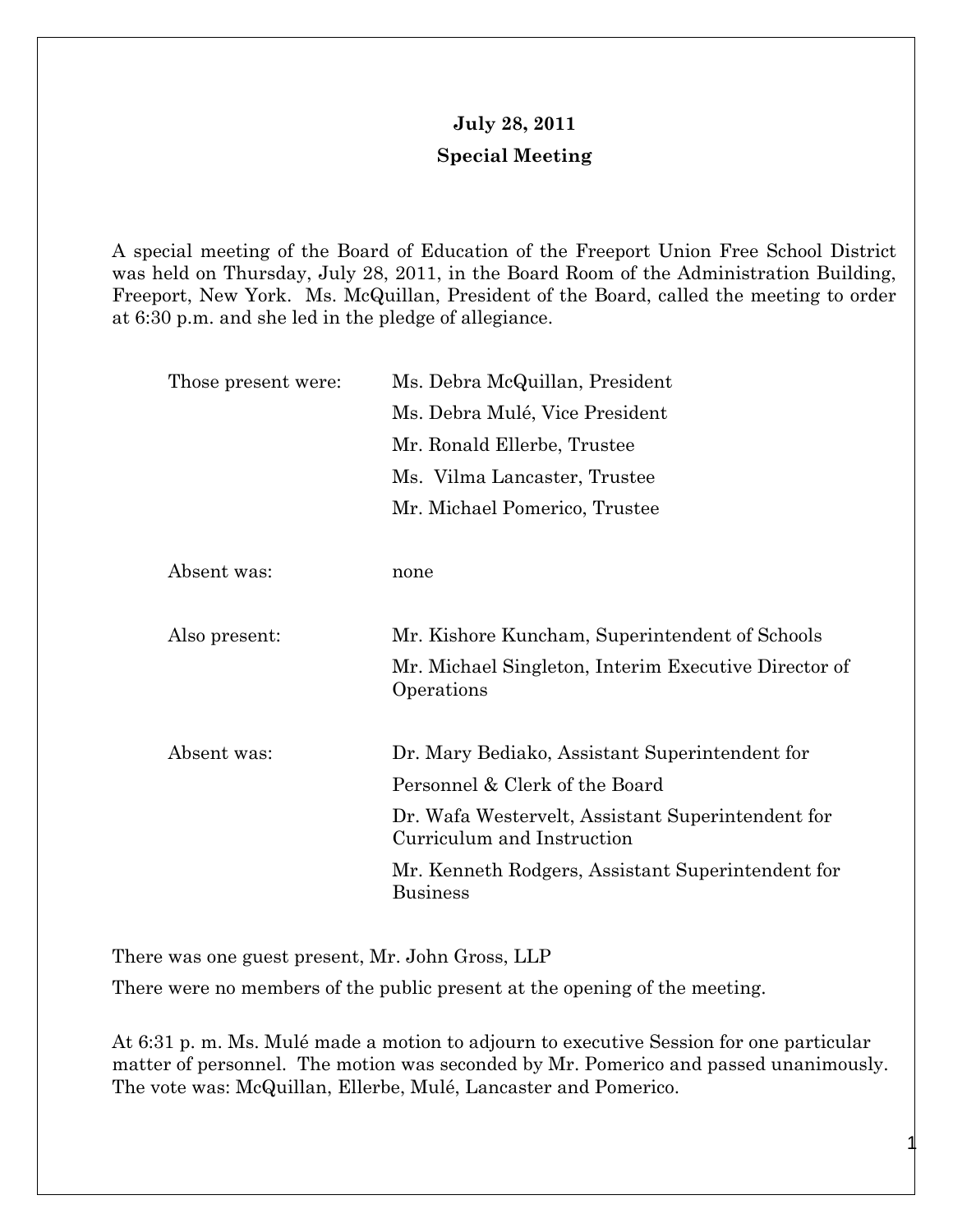## **July 28, 2011 Special Meeting**

A special meeting of the Board of Education of the Freeport Union Free School District was held on Thursday, July 28, 2011, in the Board Room of the Administration Building, Freeport, New York. Ms. McQuillan, President of the Board, called the meeting to order at 6:30 p.m. and she led in the pledge of allegiance.

| Those present were: | Ms. Debra McQuillan, President                                                  |
|---------------------|---------------------------------------------------------------------------------|
|                     | Ms. Debra Mulé, Vice President                                                  |
|                     | Mr. Ronald Ellerbe, Trustee                                                     |
|                     | Ms. Vilma Lancaster, Trustee                                                    |
|                     | Mr. Michael Pomerico, Trustee                                                   |
|                     |                                                                                 |
| Absent was:         | none                                                                            |
|                     |                                                                                 |
| Also present:       | Mr. Kishore Kuncham, Superintendent of Schools                                  |
|                     | Mr. Michael Singleton, Interim Executive Director of<br>Operations              |
|                     |                                                                                 |
| Absent was:         | Dr. Mary Bediako, Assistant Superintendent for                                  |
|                     | Personnel & Clerk of the Board                                                  |
|                     | Dr. Wafa Westervelt, Assistant Superintendent for<br>Curriculum and Instruction |
|                     | Mr. Kenneth Rodgers, Assistant Superintendent for<br><b>Business</b>            |
|                     |                                                                                 |

There was one guest present, Mr. John Gross, LLP

There were no members of the public present at the opening of the meeting.

At 6:31 p. m. Ms. Mulé made a motion to adjourn to executive Session for one particular matter of personnel. The motion was seconded by Mr. Pomerico and passed unanimously. The vote was: McQuillan, Ellerbe, Mulé, Lancaster and Pomerico.

1